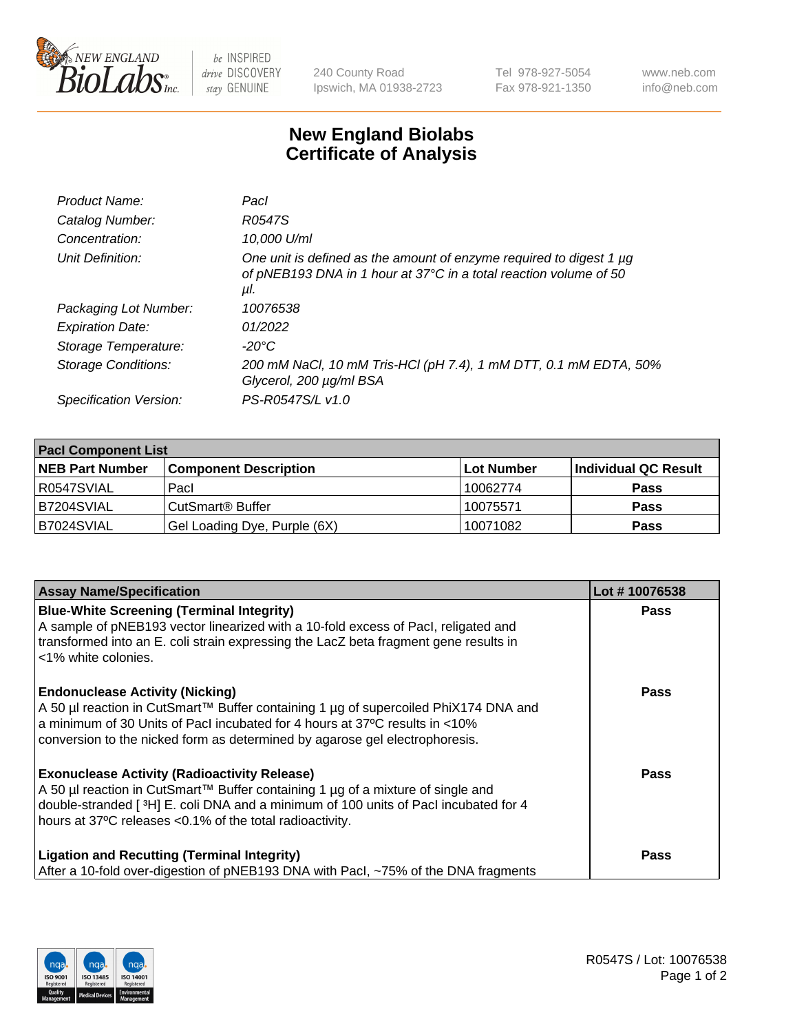

 $be$  INSPIRED drive DISCOVERY stay GENUINE

240 County Road Ipswich, MA 01938-2723 Tel 978-927-5054 Fax 978-921-1350 www.neb.com info@neb.com

## **New England Biolabs Certificate of Analysis**

| Product Name:           | Pacl                                                                                                                                            |
|-------------------------|-------------------------------------------------------------------------------------------------------------------------------------------------|
| Catalog Number:         | R0547S                                                                                                                                          |
| Concentration:          | 10,000 U/ml                                                                                                                                     |
| Unit Definition:        | One unit is defined as the amount of enzyme required to digest 1 µg<br>of pNEB193 DNA in 1 hour at 37°C in a total reaction volume of 50<br>μl. |
| Packaging Lot Number:   | 10076538                                                                                                                                        |
| <b>Expiration Date:</b> | 01/2022                                                                                                                                         |
| Storage Temperature:    | $-20^{\circ}$ C                                                                                                                                 |
| Storage Conditions:     | 200 mM NaCl, 10 mM Tris-HCl (pH 7.4), 1 mM DTT, 0.1 mM EDTA, 50%<br>Glycerol, 200 µg/ml BSA                                                     |
| Specification Version:  | PS-R0547S/L v1.0                                                                                                                                |

| <b>Pacl Component List</b> |                              |             |                      |  |  |
|----------------------------|------------------------------|-------------|----------------------|--|--|
| <b>NEB Part Number</b>     | <b>Component Description</b> | ∣Lot Number | Individual QC Result |  |  |
| R0547SVIAL                 | Pacl                         | 10062774    | <b>Pass</b>          |  |  |
| B7204SVIAL                 | CutSmart <sup>®</sup> Buffer | 10075571    | <b>Pass</b>          |  |  |
| B7024SVIAL                 | Gel Loading Dye, Purple (6X) | 10071082    | <b>Pass</b>          |  |  |

| <b>Assay Name/Specification</b>                                                                                                                                                                                                                                                             | Lot #10076538 |
|---------------------------------------------------------------------------------------------------------------------------------------------------------------------------------------------------------------------------------------------------------------------------------------------|---------------|
| <b>Blue-White Screening (Terminal Integrity)</b><br>A sample of pNEB193 vector linearized with a 10-fold excess of Pacl, religated and<br>transformed into an E. coli strain expressing the LacZ beta fragment gene results in<br>l <1% white colonies.                                     | <b>Pass</b>   |
| <b>Endonuclease Activity (Nicking)</b><br>A 50 µl reaction in CutSmart™ Buffer containing 1 µg of supercoiled PhiX174 DNA and<br>a minimum of 30 Units of Pacl incubated for 4 hours at 37°C results in <10%<br>conversion to the nicked form as determined by agarose gel electrophoresis. | <b>Pass</b>   |
| <b>Exonuclease Activity (Radioactivity Release)</b><br>A 50 µl reaction in CutSmart™ Buffer containing 1 µg of a mixture of single and<br>double-stranded [3H] E. coli DNA and a minimum of 100 units of Pacl incubated for 4<br>hours at 37°C releases <0.1% of the total radioactivity.   | <b>Pass</b>   |
| <b>Ligation and Recutting (Terminal Integrity)</b><br>After a 10-fold over-digestion of pNEB193 DNA with Pacl, ~75% of the DNA fragments                                                                                                                                                    | <b>Pass</b>   |